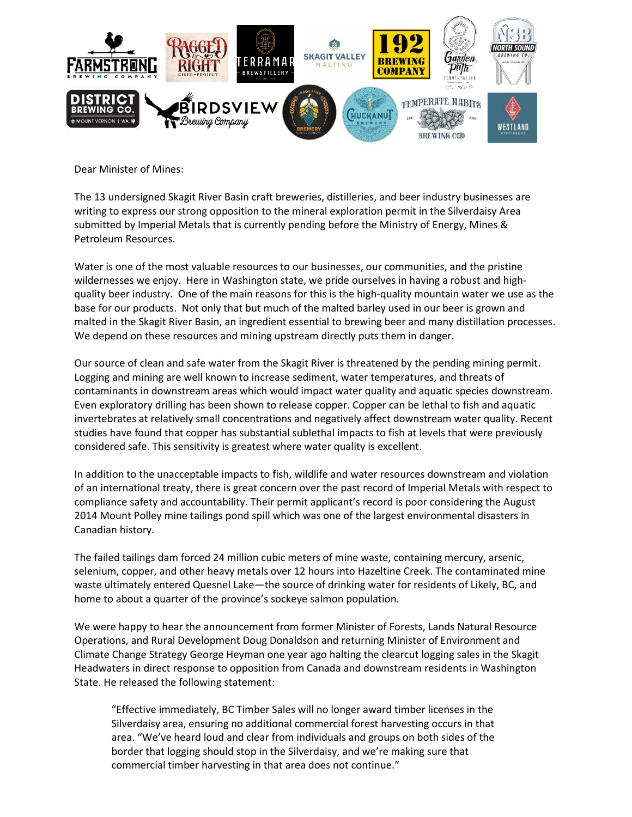

Dear Minister of Mines:

The 13 undersigned Skagit River Basin craft breweries, distilleries, and beer industry businesses are writing to express our strong opposition to the mineral exploration permit in the Silverdaisy Area submitted by Imperial Metals that is currently pending before the Ministry of Energy, Mines & Petroleum Resources.

Water is one of the most valuable resources to our businesses, our communities, and the pristine wildernesses we enjoy. Here in Washington state, we pride ourselves in having a robust and highquality beer industry. One of the main reasons for this is the high-quality mountain water we use as the base for our products. Not only that but much of the malted barley used in our beer is grown and malted in the Skagit River Basin, an ingredient essential to brewing beer and many distillation processes. We depend on these resources and mining upstream directly puts them in danger.

Our source of clean and safe water from the Skagit River is threatened by the pending mining permit. Logging and mining are well known to increase sediment, water temperatures, and threats of contaminants in downstream areas which would impact water quality and aquatic species downstream. Even exploratory drilling has been shown to release copper. Copper can be lethal to fish and aquatic invertebrates at relatively small concentrations and negatively affect downstream water quality. Recent studies have found that copper has substantial sublethal impacts to fish at levels that were previously considered safe. This sensitivity is greatest where water quality is excellent.

In addition to the unacceptable impacts to fish, wildlife and water resources downstream and violation of an international treaty, there is great concern over the past record of Imperial Metals with respect to compliance safety and accountability. Their permit applicant's record is poor considering the August 2014 Mount Polley mine tailings pond spill which was one of the largest environmental disasters in Canadian history.

The failed tailings dam forced 24 million cubic meters of mine waste, containing mercury, arsenic, selenium, copper, and other heavy metals over 12 hours into Hazeltine Creek. The contaminated mine waste ultimately entered Quesnel Lake—the source of drinking water for residents of Likely, BC, and home to about a quarter of the province's sockeye salmon population.

We were happy to hear the announcement from former Minister of Forests, Lands Natural Resource Operations, and Rural Development Doug Donaldson and returning Minister of Environment and Climate Change Strategy George Heyman one year ago halting the clearcut logging sales in the Skagit Headwaters in direct response to opposition from Canada and downstream residents in Washington State. He released the following statement:

"Effective immediately, BC Timber Sales will no longer award timber licenses in the Silverdaisy area, ensuring no additional commercial forest harvesting occurs in that area. "We've heard loud and clear from individuals and groups on both sides of the border that logging should stop in the Silverdaisy, and we're making sure that commercial timber harvesting in that area does not continue."